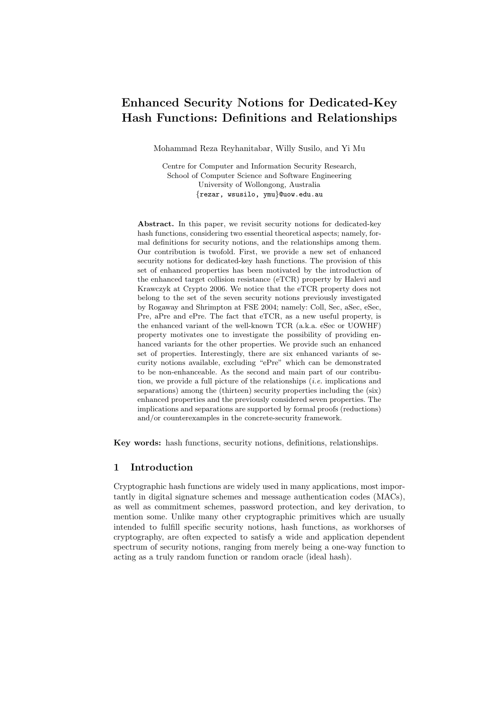# Enhanced Security Notions for Dedicated-Key Hash Functions: Definitions and Relationships

Mohammad Reza Reyhanitabar, Willy Susilo, and Yi Mu

Centre for Computer and Information Security Research, School of Computer Science and Software Engineering University of Wollongong, Australia {rezar, wsusilo, ymu}@uow.edu.au

Abstract. In this paper, we revisit security notions for dedicated-key hash functions, considering two essential theoretical aspects; namely, formal definitions for security notions, and the relationships among them. Our contribution is twofold. First, we provide a new set of enhanced security notions for dedicated-key hash functions. The provision of this set of enhanced properties has been motivated by the introduction of the enhanced target collision resistance (eTCR) property by Halevi and Krawczyk at Crypto 2006. We notice that the eTCR property does not belong to the set of the seven security notions previously investigated by Rogaway and Shrimpton at FSE 2004; namely: Coll, Sec, aSec, eSec, Pre, aPre and ePre. The fact that eTCR, as a new useful property, is the enhanced variant of the well-known TCR (a.k.a. eSec or UOWHF) property motivates one to investigate the possibility of providing enhanced variants for the other properties. We provide such an enhanced set of properties. Interestingly, there are six enhanced variants of security notions available, excluding "ePre" which can be demonstrated to be non-enhanceable. As the second and main part of our contribution, we provide a full picture of the relationships  $(i.e.$  implications and separations) among the (thirteen) security properties including the (six) enhanced properties and the previously considered seven properties. The implications and separations are supported by formal proofs (reductions) and/or counterexamples in the concrete-security framework.

Key words: hash functions, security notions, definitions, relationships.

# 1 Introduction

Cryptographic hash functions are widely used in many applications, most importantly in digital signature schemes and message authentication codes (MACs), as well as commitment schemes, password protection, and key derivation, to mention some. Unlike many other cryptographic primitives which are usually intended to fulfill specific security notions, hash functions, as workhorses of cryptography, are often expected to satisfy a wide and application dependent spectrum of security notions, ranging from merely being a one-way function to acting as a truly random function or random oracle (ideal hash).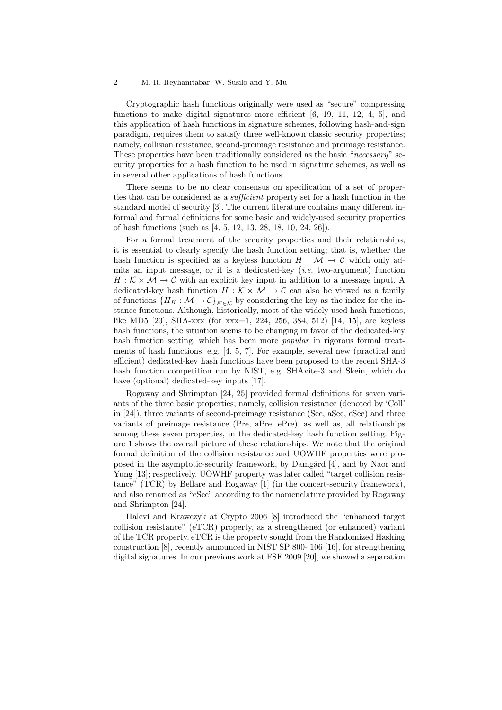Cryptographic hash functions originally were used as "secure" compressing functions to make digital signatures more efficient  $[6, 19, 11, 12, 4, 5]$ , and this application of hash functions in signature schemes, following hash-and-sign paradigm, requires them to satisfy three well-known classic security properties; namely, collision resistance, second-preimage resistance and preimage resistance. These properties have been traditionally considered as the basic "necessary" security properties for a hash function to be used in signature schemes, as well as in several other applications of hash functions.

There seems to be no clear consensus on specification of a set of properties that can be considered as a sufficient property set for a hash function in the standard model of security [3]. The current literature contains many different informal and formal definitions for some basic and widely-used security properties of hash functions (such as [4, 5, 12, 13, 28, 18, 10, 24, 26]).

For a formal treatment of the security properties and their relationships, it is essential to clearly specify the hash function setting; that is, whether the hash function is specified as a keyless function  $H : \mathcal{M} \to \mathcal{C}$  which only admits an input message, or it is a dedicated-key  $(i.e.$  two-argument) function  $H: \mathcal{K} \times \mathcal{M} \rightarrow \mathcal{C}$  with an explicit key input in addition to a message input. A dedicated-key hash function  $H : \mathcal{K} \times \mathcal{M} \to \mathcal{C}$  can also be viewed as a family of functions  ${H_K : \mathcal{M} \to \mathcal{C}}_{K \in \mathcal{K}}$  by considering the key as the index for the instance functions. Although, historically, most of the widely used hash functions, like MD5 [23], SHA-xxx (for xxx=1, 224, 256, 384, 512) [14, 15], are keyless hash functions, the situation seems to be changing in favor of the dedicated-key hash function setting, which has been more *popular* in rigorous formal treatments of hash functions; e.g. [4, 5, 7]. For example, several new (practical and efficient) dedicated-key hash functions have been proposed to the recent SHA-3 hash function competition run by NIST, e.g. SHAvite-3 and Skein, which do have (optional) dedicated-key inputs [17].

Rogaway and Shrimpton [24, 25] provided formal definitions for seven variants of the three basic properties; namely, collision resistance (denoted by 'Coll' in [24]), three variants of second-preimage resistance (Sec, aSec, eSec) and three variants of preimage resistance (Pre, aPre, ePre), as well as, all relationships among these seven properties, in the dedicated-key hash function setting. Figure 1 shows the overall picture of these relationships. We note that the original formal definition of the collision resistance and UOWHF properties were proposed in the asymptotic-security framework, by Damgård [4], and by Naor and Yung [13]; respectively. UOWHF property was later called "target collision resistance" (TCR) by Bellare and Rogaway [1] (in the concert-security framework), and also renamed as "eSec" according to the nomenclature provided by Rogaway and Shrimpton [24].

Halevi and Krawczyk at Crypto 2006 [8] introduced the "enhanced target collision resistance" (eTCR) property, as a strengthened (or enhanced) variant of the TCR property. eTCR is the property sought from the Randomized Hashing construction [8], recently announced in NIST SP 800- 106 [16], for strengthening digital signatures. In our previous work at FSE 2009 [20], we showed a separation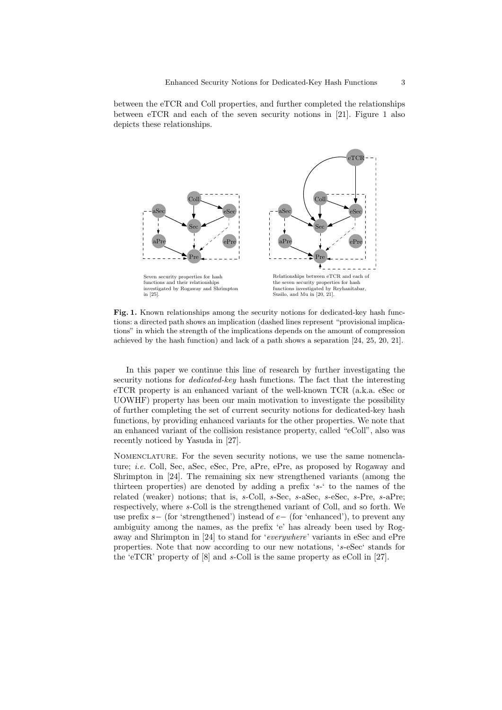between the eTCR and Coll properties, and further completed the relationships between eTCR and each of the seven security notions in [21]. Figure 1 also depicts these relationships.



Fig. 1. Known relationships among the security notions for dedicated-key hash functions: a directed path shows an implication (dashed lines represent "provisional implications" in which the strength of the implications depends on the amount of compression achieved by the hash function) and lack of a path shows a separation [24, 25, 20, 21].

In this paper we continue this line of research by further investigating the security notions for *dedicated-key* hash functions. The fact that the interesting eTCR property is an enhanced variant of the well-known TCR (a.k.a. eSec or UOWHF) property has been our main motivation to investigate the possibility of further completing the set of current security notions for dedicated-key hash functions, by providing enhanced variants for the other properties. We note that an enhanced variant of the collision resistance property, called "eColl", also was recently noticed by Yasuda in [27].

Nomenclature. For the seven security notions, we use the same nomenclature; *i.e.* Coll, Sec, aSec, eSec, Pre, aPre, ePre, as proposed by Rogaway and Shrimpton in [24]. The remaining six new strengthened variants (among the thirteen properties) are denoted by adding a prefix 's-' to the names of the related (weaker) notions; that is, s-Coll, s-Sec, s-aSec, s-eSec, s-Pre, s-aPre; respectively, where s-Coll is the strengthened variant of Coll, and so forth. We use prefix s− (for 'strengthened') instead of e− (for 'enhanced'), to prevent any ambiguity among the names, as the prefix 'e' has already been used by Rogaway and Shrimpton in [24] to stand for 'everywhere' variants in eSec and ePre properties. Note that now according to our new notations, 's-eSec' stands for the 'eTCR' property of [8] and s-Coll is the same property as eColl in [27].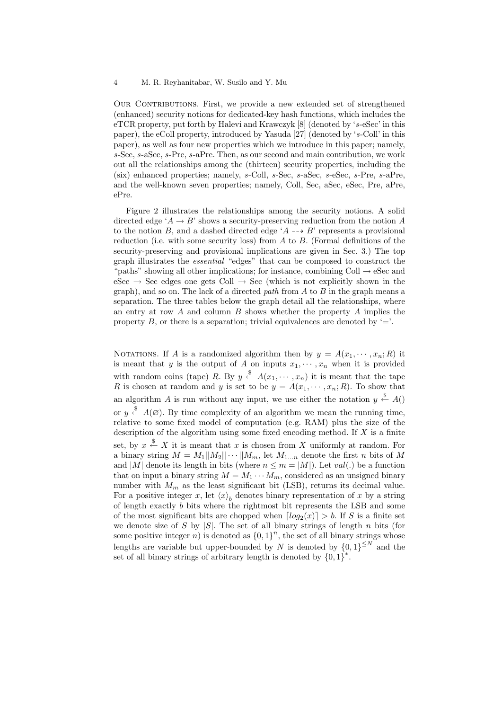OUR CONTRIBUTIONS. First, we provide a new extended set of strengthened (enhanced) security notions for dedicated-key hash functions, which includes the eTCR property, put forth by Halevi and Krawczyk [8] (denoted by 's-eSec' in this paper), the eColl property, introduced by Yasuda [27] (denoted by 's-Coll' in this paper), as well as four new properties which we introduce in this paper; namely, s-Sec, s-aSec, s-Pre, s-aPre. Then, as our second and main contribution, we work out all the relationships among the (thirteen) security properties, including the (six) enhanced properties; namely, s-Coll, s-Sec, s-aSec, s-eSec, s-Pre, s-aPre, and the well-known seven properties; namely, Coll, Sec, aSec, eSec, Pre, aPre, ePre.

Figure 2 illustrates the relationships among the security notions. A solid directed edge ' $A \rightarrow B$ ' shows a security-preserving reduction from the notion A to the notion B, and a dashed directed edge 'A  $-\rightarrow$  B' represents a provisional reduction (i.e. with some security loss) from  $A$  to  $B$ . (Formal definitions of the security-preserving and provisional implications are given in Sec. 3.) The top graph illustrates the essential "edges" that can be composed to construct the "paths" showing all other implications; for instance, combining Coll  $\rightarrow$  eSec and eSec  $\rightarrow$  Sec edges one gets Coll  $\rightarrow$  Sec (which is not explicitly shown in the graph), and so on. The lack of a directed path from  $A$  to  $B$  in the graph means a separation. The three tables below the graph detail all the relationships, where an entry at row  $A$  and column  $B$  shows whether the property  $A$  implies the property B, or there is a separation; trivial equivalences are denoted by  $\prime =$ .

NOTATIONS. If A is a randomized algorithm then by  $y = A(x_1, \dots, x_n; R)$  it is meant that y is the output of A on inputs  $x_1, \dots, x_n$  when it is provided with random coins (tape) R. By  $y \stackrel{\$}{\leftarrow} A(x_1, \dots, x_n)$  it is meant that the tape R is chosen at random and y is set to be  $y = A(x_1, \dots, x_n; R)$ . To show that an algorithm A is run without any input, we use either the notation  $y \stackrel{\$}{\leftarrow} A()$ or  $y \stackrel{\$}{\leftarrow} A(\emptyset)$ . By time complexity of an algorithm we mean the running time, relative to some fixed model of computation (e.g. RAM) plus the size of the description of the algorithm using some fixed encoding method. If  $X$  is a finite set, by  $x \stackrel{\$}{\leftarrow} X$  it is meant that x is chosen from X uniformly at random. For a binary string  $M = M_1||M_2||\cdots||M_m$ , let  $M_{1...n}$  denote the first n bits of M and |M| denote its length in bits (where  $n \leq m = |M|$ ). Let val(.) be a function that on input a binary string  $M = M_1 \cdots M_m$ , considered as an unsigned binary number with  $M_m$  as the least significant bit (LSB), returns its decimal value. For a positive integer x, let  $\langle x \rangle_b$  denotes binary representation of x by a string of length exactly b bits where the rightmost bit represents the LSB and some of the most significant bits are chopped when  $\lceil log_2(x) \rceil > b$ . If S is a finite set we denote size of S by  $|S|$ . The set of all binary strings of length n bits (for some positive integer n) is denoted as  $\{0,1\}^n$ , the set of all binary strings whose lengths are variable but upper-bounded by N is denoted by  $\{0,1\}^{\leq N}$  and the set of all binary strings of arbitrary length is denoted by  $\{0,1\}^*$ .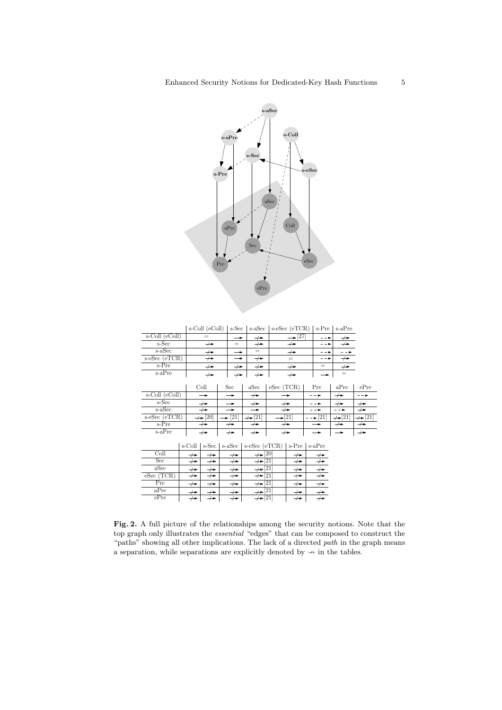

|                                |     |               | s-Coll (eColl) |                          | s-Sec                    | s-aSec                              |          |                   | s-eSec (eTCR) |                          | s-Pre         | s-aPre                    |          |
|--------------------------------|-----|---------------|----------------|--------------------------|--------------------------|-------------------------------------|----------|-------------------|---------------|--------------------------|---------------|---------------------------|----------|
| $s$ -Coll $\overline{(eColl)}$ |     | $=$           |                |                          | $\rightarrow$            | $+$                                 |          | $\rightarrow$ 27  |               |                          | - - -         | $\rightarrow$             |          |
| s-Sec                          | $+$ |               |                | $=$                      | $+$                      |                                     | $+$      |                   |               |                          | $+$           |                           |          |
| s-aSec                         | $+$ |               |                | $\rightarrow$            |                          | $\hspace*{0.4em} = \hspace*{0.4em}$ |          |                   | $+$           | ---                      |               | $- - \blacktriangleright$ |          |
| $s$ -eSec $(eTCR)$             |     | $+$           |                | $\overline{\phantom{a}}$ | $+$                      |                                     | $=$      |                   |               | - - <b>-</b>             | $+$           |                           |          |
| s-Pre                          |     | $+$           |                |                          | $+$                      | $+$                                 |          |                   | $+$           |                          | $=$           | $+$                       |          |
| s-aPre                         |     | $+$           |                |                          | $+$                      | $+$                                 |          | $+$               |               |                          |               | $=$                       |          |
|                                |     |               |                |                          |                          |                                     |          |                   |               |                          |               |                           |          |
|                                |     | Coll          |                |                          | Sec                      | aSec                                |          | eSec(TCR)         |               | Pre                      |               | aPre                      | ePre     |
| $s$ -Coll $\overline{(eColl)}$ |     | $\rightarrow$ |                |                          | $\rightarrow$            | $+$                                 |          |                   |               | - – ⊨                    |               | $+$                       | $- - 1$  |
| s-Sec                          |     | $+$           |                |                          | -                        | $+$                                 |          | $+$               |               |                          |               | $+$                       | $+$      |
| s-aSec                         |     | $+$           |                |                          | $\overline{\phantom{a}}$ | $\rightarrow$                       |          | $+$               |               |                          |               | $- - \blacktriangleright$ | $+$      |
| s-eSec (eTCR)                  |     | $+$ [20]      |                |                          | $\blacksquare$ [21]      | $+21$                               |          | $\centerdot$ [21] |               | $-\frac{1}{21}$          |               | $\pm$ [21]                | $+$ [21] |
| s-Pre                          |     | $+$           |                |                          | $+$                      | $+$                                 |          | $+$               |               | $\overline{\phantom{a}}$ |               | $+$                       | $+$      |
| s-aPre                         |     | $+$           |                |                          | $+$                      | $+$                                 |          | $+$               |               |                          |               |                           | $+$      |
|                                |     |               |                |                          |                          |                                     |          |                   |               |                          |               |                           |          |
|                                |     | s-Coll        | s-Sec          |                          |                          | s-aSec $ $ s-eSec $(eTCR)$ $ $      |          |                   | $s$ -Pre      |                          | s-aPre        |                           |          |
| Coll                           |     | $+$           | $+$            |                          | $+$                      |                                     | $+$ [20] |                   | $\rightarrow$ |                          | $\rightarrow$ |                           |          |
| Sec                            |     | $+$           | $+$            |                          | $+$                      |                                     | $+$ [21] |                   | $+$           |                          | $+$           |                           |          |
| aSec                           |     | $+$           | $+$            |                          | $+\!\!\!-\!\!\!-$        |                                     | $+$ [21] |                   | $+$           |                          | $\frac{+}{+}$ |                           |          |
| eSec(TCR)                      |     | $+$           | $+$            |                          | $+$                      |                                     | $+$ [21] |                   | $+$           |                          |               |                           |          |
| Pre                            |     | $+$           | $+$            |                          | $+$                      |                                     | $+$ [21] |                   | $+$           |                          | $+$           |                           |          |
| aPre                           |     | $+$           | $+$            |                          | $+$                      |                                     | $+21$    |                   | $+$           |                          | $\leftarrow$  |                           |          |
|                                |     |               |                |                          |                          |                                     |          |                   |               |                          |               |                           |          |

ePre  $\rightarrow \rightarrow \rightarrow \rightarrow \rightarrow \rightarrow$   $\rightarrow \rightarrow$  [21]  $\overline{\phantom{a}}$  $+$ 

Fig. 2. A full picture of the relationships among the security notions. Note that the top graph only illustrates the essential "edges" that can be composed to construct the "paths" showing all other implications. The lack of a directed path in the graph means a separation, while separations are explicitly denoted by  $\nrightarrow$  in the tables.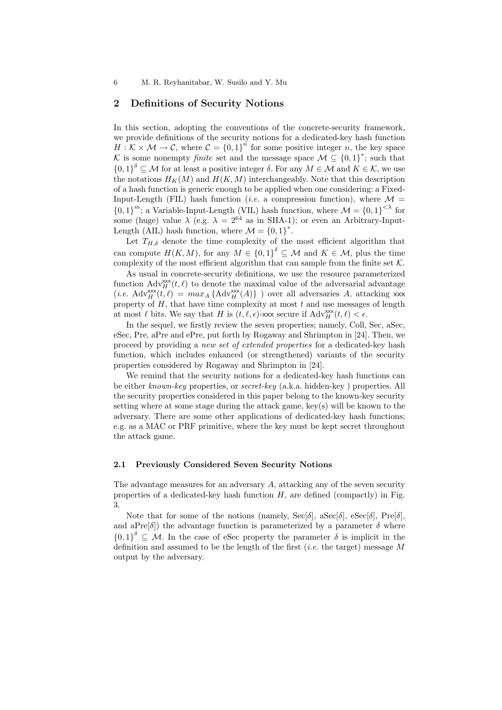## 2 Definitions of Security Notions

In this section, adopting the conventions of the concrete-security framework, we provide definitions of the security notions for a dedicated-key hash function  $H: \mathcal{K} \times \mathcal{M} \to \mathcal{C}$ , where  $\mathcal{C} = \{0,1\}^n$  for some positive integer n, the key space K is some nonempty *finite* set and the message space  $M \subseteq \{0,1\}^*$ ; such that  $\{0,1\}^{\delta} \subseteq \mathcal{M}$  for at least a positive integer  $\delta$ . For any  $M \in \mathcal{M}$  and  $K \in \mathcal{K}$ , we use the notations  $H_K(M)$  and  $H(K, M)$  interchangeably. Note that this description of a hash function is generic enough to be applied when one considering: a Fixed-Input-Length (FIL) hash function (*i.e.* a compression function), where  $\mathcal{M} =$  ${0,1}^m$ ; a Variable-Input-Length (VIL) hash function, where  $\mathcal{M} = {0,1}^{<\lambda}$  for some (huge) value  $\lambda$  (e.g.  $\lambda = 2^{64}$  as in SHA-1); or even an Arbitrary-Input-Length (AIL) hash function, where  $\mathcal{M} = \{0, 1\}^*$ .

Let  $T_{H,\delta}$  denote the time complexity of the most efficient algorithm that can compute  $H(K, M)$ , for any  $M \in \{0,1\}^{\delta} \subseteq M$  and  $K \in \mathcal{M}$ , plus the time complexity of the most efficient algorithm that can sample from the finite set  $K$ .

As usual in concrete-security definitions, we use the resource parameterized function  $\text{Adv}_{H}^{\text{xxx}}(t, \ell)$  to denote the maximal value of the adversarial advantage  $(i.e. \text{ Adv}_{H}^{\text{xxx}}(t, \ell) = max_{A} \{\text{Adv}_{H}^{\text{xxx}}(A)\}\)$  over all adversaries A, attacking xxx property of  $H$ , that have time complexity at most  $t$  and use messages of length at most  $\ell$  bits. We say that H is  $(t, \ell, \epsilon)$ -xxx secure if  $\text{Adv}_{H}^{\text{xxx}}(t, \ell) < \epsilon$ .

In the sequel, we firstly review the seven properties; namely, Coll, Sec, aSec, eSec, Pre, aPre and ePre, put forth by Rogaway and Shrimpton in [24]. Then, we proceed by providing a new set of extended properties for a dedicated-key hash function, which includes enhanced (or strengthened) variants of the security properties considered by Rogaway and Shrimpton in [24].

We remind that the security notions for a dedicated-key hash functions can be either known-key properties, or secret-key (a.k.a. hidden-key ) properties. All the security properties considered in this paper belong to the known-key security setting where at some stage during the attack game, key(s) will be known to the adversary. There are some other applications of dedicated-key hash functions; e.g. as a MAC or PRF primitive, where the key must be kept secret throughout the attack game.

## 2.1 Previously Considered Seven Security Notions

The advantage measures for an adversary A, attacking any of the seven security properties of a dedicated-key hash function  $H$ , are defined (compactly) in Fig. 3.

Note that for some of the notions (namely,  $\text{Sec}[\delta]$ ,  $\text{Sec}[\delta]$ ,  $\text{Sec}[\delta]$ ,  $\text{Pre}[\delta]$ , and aPre $[\delta]$ ) the advantage function is parameterized by a parameter  $\delta$  where  ${0,1}^{\delta} \subseteq M$ . In the case of eSec property the parameter  $\delta$  is implicit in the definition and assumed to be the length of the first (*i.e.* the target) message  $M$ output by the adversary.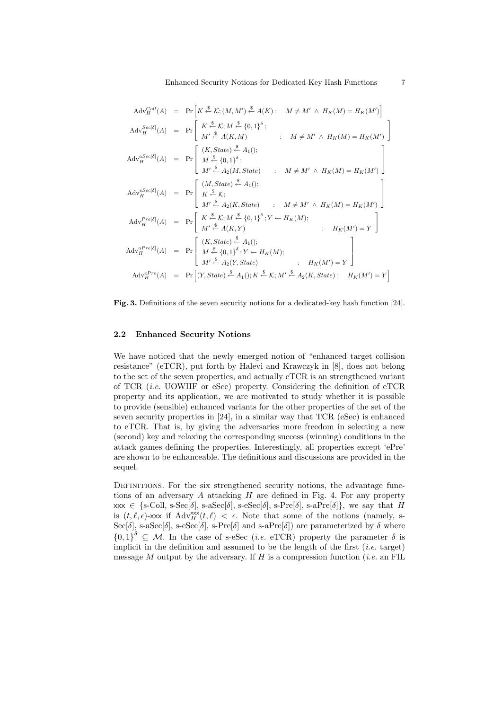$$
Adv_H^{Coll}(A) = Pr\left[K \stackrel{\$}{\leftarrow} K; (M, M') \stackrel{\$}{\leftarrow} A(K): M \neq M' \land H_K(M) = H_K(M')\right]
$$
\n
$$
Adv_H^{Sec[\delta]}(A) = Pr\left[K \stackrel{\$}{\leftarrow} K; M \stackrel{\$}{\leftarrow} \{0,1\}^{\delta}; \quad M' \stackrel{\$}{\leftarrow} A(K, M) : M \neq M' \land H_K(M) = H_K(M')\right]
$$
\n
$$
Adv_H^{aSec[\delta]}(A) = Pr\left[M \stackrel{\$}{\leftarrow} A(K, M) : M \neq M' \land H_K(M) = H_K(M')\right]
$$
\n
$$
Adv_H^{aSec[\delta]}(A) = Pr\left[M \stackrel{\$}{\leftarrow} \{0,1\}^{\delta}; \quad M' \stackrel{\$}{\leftarrow} A_2(M, State) : M \neq M' \land H_K(M) = H_K(M')\right]
$$
\n
$$
Adv_H^{eSec[\delta]}(A) = Pr\left[K \stackrel{\$}{\leftarrow} K; \quad M' \stackrel{\$}{\leftarrow} A_2(K, State) : M \neq M' \land H_K(M) = H_K(M')\right]
$$
\n
$$
Adv_H^{Pre[\delta]}(A) = Pr\left[K \stackrel{\$}{\leftarrow} K; M \stackrel{\$}{\leftarrow} \{0,1\}^{\delta}; Y \leftarrow H_K(M); \quad H_K(M') = Y\right]
$$
\n
$$
Adv_H^{aPre[\delta]}(A) = Pr\left[M \stackrel{\$}{\leftarrow} A(K, Y) : H_K(M); \quad H_K(M') = Y\right]
$$
\n
$$
Adv_H^{aPre[\delta]}(A) = Pr\left[M \stackrel{\$}{\leftarrow} \{0,1\}^{\delta}; Y \leftarrow H_K(M); \quad H_K(M') = Y\right]
$$
\n
$$
Adv_H^{ePre} (A) = Pr\left[(Y, State) \stackrel{\$}{\leftarrow} A_1(); K \stackrel{\$}{\leftarrow} K; M' \stackrel{\$}{\leftarrow} A_2(K, State) : H_K(M') = Y\right]
$$

Fig. 3. Definitions of the seven security notions for a dedicated-key hash function [24].

#### 2.2 Enhanced Security Notions

We have noticed that the newly emerged notion of "enhanced target collision resistance" (eTCR), put forth by Halevi and Krawczyk in [8], does not belong to the set of the seven properties, and actually eTCR is an strengthened variant of TCR (i.e. UOWHF or eSec) property. Considering the definition of eTCR property and its application, we are motivated to study whether it is possible to provide (sensible) enhanced variants for the other properties of the set of the seven security properties in  $[24]$ , in a similar way that TCR (eSec) is enhanced to eTCR. That is, by giving the adversaries more freedom in selecting a new (second) key and relaxing the corresponding success (winning) conditions in the attack games defining the properties. Interestingly, all properties except 'ePre' are shown to be enhanceable. The definitions and discussions are provided in the sequel.

DEFINITIONS. For the six strengthened security notions, the advantage functions of an adversary  $A$  attacking  $H$  are defined in Fig. 4. For any property  $\mathsf{x}\mathsf{x}\mathsf{x} \in \{\text{s-Coll}, \ \text{s-Sec}[\delta], \ \text{s-Sec}[\delta], \ \text{s-Sec}[\delta], \ \text{s-Pre}[\delta], \ \text{s-are}[\delta]\},\ \text{we say that } \overline{H}$ is  $(t, \ell, \epsilon)$ -xxx if  $\text{Adv}_{H}^{xxxx}(t, \ell) < \epsilon$ . Note that some of the notions (namely, s-Sec[ $\delta$ ], s-aSec[ $\delta$ ], s-eSec[ $\delta$ ], s-Pre[ $\delta$ ] and s-aPre[ $\delta$ ]) are parameterized by  $\delta$  where  ${0,1}^{\delta} \subseteq M$ . In the case of s-eSec (*i.e.* eTCR) property the parameter  $\delta$  is implicit in the definition and assumed to be the length of the first  $(i.e.$  target) message  $M$  output by the adversary. If  $H$  is a compression function (*i.e.* an FIL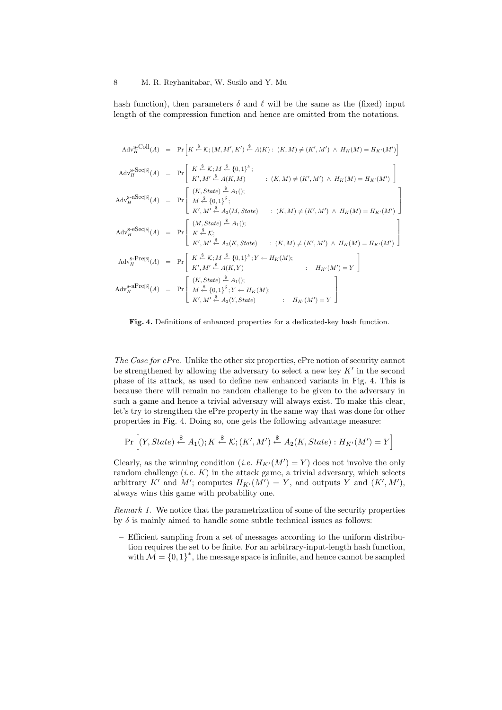hash function), then parameters  $\delta$  and  $\ell$  will be the same as the (fixed) input length of the compression function and hence are omitted from the notations.

$$
Adv_{H}^{S\text{-}Coll}(A) = Pr\left[K \stackrel{\$}{\leftarrow} K; (M, M', K') \stackrel{\$}{\leftarrow} A(K) : (K, M) \neq (K', M') \land H_{K}(M) = H_{K'}(M')\right]
$$
\n
$$
Adv_{H}^{S\text{-}Sec[\delta]}(A) = Pr\left[K \stackrel{\$}{\leftarrow} K; M \stackrel{\$}{\leftarrow} \{0,1\}^{\delta};
$$
\n
$$
Adv_{H}^{S\text{-}aSec[\delta]}(A) = Pr\left[K, State) \stackrel{\$}{\leftarrow} A(K, M) : (K, M) \neq (K', M') \land H_{K}(M) = H_{K'}(M')\right]\right]
$$
\n
$$
Adv_{H}^{S\text{-}aSec[\delta]}(A) = Pr\left[M, State) \stackrel{\$}{\leftarrow} A_{1}(j;
$$
\n
$$
K', M' \stackrel{\$}{\leftarrow} A_{2}(M, State) : (K, M) \neq (K', M') \land H_{K}(M) = H_{K'}(M')\right]\right]
$$
\n
$$
Adv_{H}^{S\text{-}eSec[\delta]}(A) = Pr\left[K \stackrel{\$}{\leftarrow} K;;
$$
\n
$$
K', M' \stackrel{\$}{\leftarrow} A_{2}(K, State) : (K, M) \neq (K', M') \land H_{K}(M) = H_{K'}(M')\right]\right]
$$
\n
$$
Adv_{H}^{S\text{-}Pre[\delta]}(A) = Pr\left[K \stackrel{\$}{\leftarrow} K; M \stackrel{\$}{\leftarrow} A(0, 1)^{\delta}; Y \leftarrow H_{K}(M);
$$
\n
$$
H_{K'}(M') = Y\right]
$$
\n
$$
Adv_{H}^{S\text{-}aPre[\delta]}(A) = Pr\left[M, State) \stackrel{\$}{\leftarrow} A(1);
$$
\n
$$
K', M' \stackrel{\$}{\leftarrow} A(K, Y) : H_{K'}(M') = Y\right]
$$
\n
$$
Adv_{H}^{S\text{-}aPre[\delta]}(A) = Pr\left[M, \stackrel{\$}{\leftarrow} A_{2}(0, 1)^{\delta}; Y \leftarrow H_{K}(M);
$$
\n
$$
H_{K'}(M') = Y\right]
$$

Fig. 4. Definitions of enhanced properties for a dedicated-key hash function.

The Case for ePre. Unlike the other six properties, ePre notion of security cannot be strengthened by allowing the adversary to select a new key  $K'$  in the second phase of its attack, as used to define new enhanced variants in Fig. 4. This is because there will remain no random challenge to be given to the adversary in such a game and hence a trivial adversary will always exist. To make this clear, let's try to strengthen the ePre property in the same way that was done for other properties in Fig. 4. Doing so, one gets the following advantage measure:

$$
\Pr\left[(Y, State) \stackrel{\$}{\leftarrow} A_1(); K \stackrel{\$}{\leftarrow} \mathcal{K}; (K', M') \stackrel{\$}{\leftarrow} A_2(K, State) : H_{K'}(M') = Y\right]
$$

Clearly, as the winning condition (*i.e.*  $H_{K'}(M') = Y$ ) does not involve the only random challenge  $(i.e. K)$  in the attack game, a trivial adversary, which selects arbitrary K' and M'; computes  $H_{K'}(M') = Y$ , and outputs Y and  $(K', M')$ , always wins this game with probability one.

Remark 1. We notice that the parametrization of some of the security properties by  $\delta$  is mainly aimed to handle some subtle technical issues as follows:

– Efficient sampling from a set of messages according to the uniform distribution requires the set to be finite. For an arbitrary-input-length hash function, with  $\mathcal{M} = \{0,1\}^*$ , the message space is infinite, and hence cannot be sampled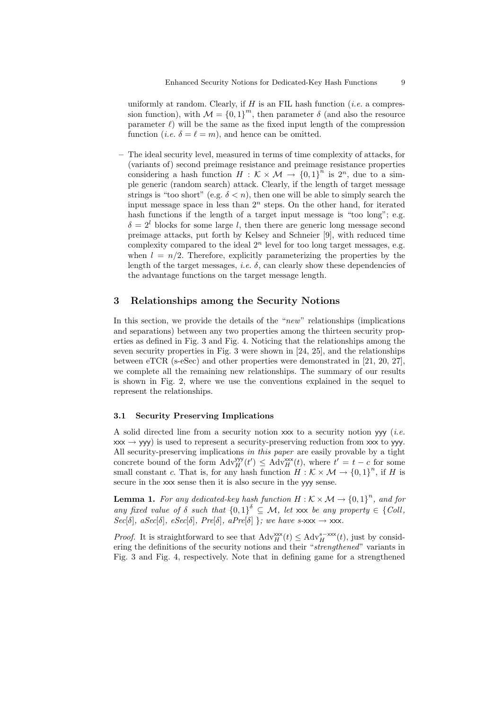uniformly at random. Clearly, if  $H$  is an FIL hash function (*i.e.* a compression function), with  $\mathcal{M} = \{0, 1\}^m$ , then parameter  $\delta$  (and also the resource parameter  $\ell$ ) will be the same as the fixed input length of the compression function (*i.e.*  $\delta = \ell = m$ ), and hence can be omitted.

– The ideal security level, measured in terms of time complexity of attacks, for (variants of) second preimage resistance and preimage resistance properties considering a hash function  $H : \mathcal{K} \times \mathcal{M} \to \{0,1\}^n$  is  $2^n$ , due to a simple generic (random search) attack. Clearly, if the length of target message strings is "too short" (e.g.  $\delta < n$ ), then one will be able to simply search the input message space in less than  $2^n$  steps. On the other hand, for iterated hash functions if the length of a target input message is "too long"; e.g.  $\delta = 2^l$  blocks for some large l, then there are generic long message second preimage attacks, put forth by Kelsey and Schneier [9], with reduced time complexity compared to the ideal  $2^n$  level for too long target messages, e.g. when  $l = n/2$ . Therefore, explicitly parameterizing the properties by the length of the target messages, *i.e.*  $\delta$ , can clearly show these dependencies of the advantage functions on the target message length.

# 3 Relationships among the Security Notions

In this section, we provide the details of the "new" relationships (implications and separations) between any two properties among the thirteen security properties as defined in Fig. 3 and Fig. 4. Noticing that the relationships among the seven security properties in Fig. 3 were shown in [24, 25], and the relationships between eTCR (s-eSec) and other properties were demonstrated in [21, 20, 27], we complete all the remaining new relationships. The summary of our results is shown in Fig. 2, where we use the conventions explained in the sequel to represent the relationships.

#### 3.1 Security Preserving Implications

A solid directed line from a security notion  $xxx$  to a security notion yyy (*i.e.*  $xxx \rightarrow yyy$  is used to represent a security-preserving reduction from xxx to yyy. All security-preserving implications in this paper are easily provable by a tight concrete bound of the form  $\text{Adv}_{H}^{\text{yyy}}(t') \leq \text{Adv}_{H}^{\text{xxx}}(t)$ , where  $t' = t - c$  for some small constant c. That is, for any hash function  $H : \mathcal{K} \times \mathcal{M} \to \{0,1\}^n$ , if H is secure in the xxx sense then it is also secure in the yyy sense.

**Lemma 1.** For any dedicated-key hash function  $H : \mathcal{K} \times \mathcal{M} \rightarrow \{0,1\}^n$ , and for any fixed value of  $\delta$  such that  ${0,1}^{\delta} \subseteq M$ , let xxx be any property  $\in$  {Coll, Sec[ $\delta$ ], aSec[ $\delta$ ], eSec[ $\delta$ ], Pre[ $\delta$ ], aPre[ $\delta$ ] }; we have s-xxx  $\rightarrow$  xxx.

*Proof.* It is straightforward to see that  $\text{Adv}_{H}^{\text{xxx}}(t) \leq \text{Adv}_{H}^{s-\text{xxx}}(t)$ , just by considering the definitions of the security notions and their "strengthened" variants in Fig. 3 and Fig. 4, respectively. Note that in defining game for a strengthened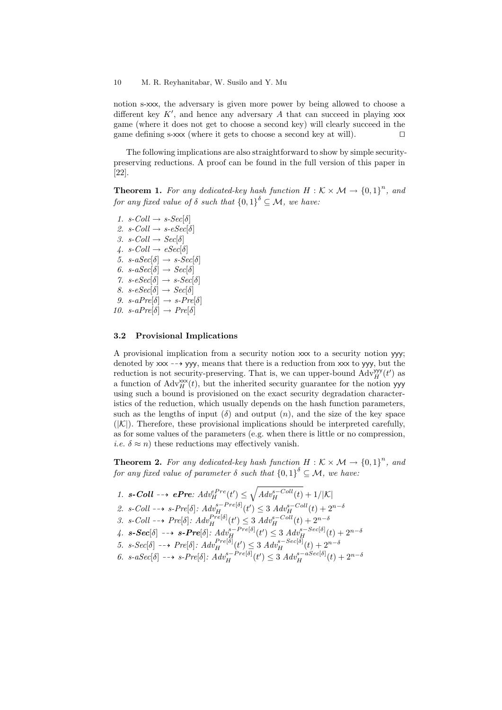notion s-xxx, the adversary is given more power by being allowed to choose a different key  $K'$ , and hence any adversary  $A$  that can succeed in playing  $x \times x$ game (where it does not get to choose a second key) will clearly succeed in the game defining s-xxx (where it gets to choose a second key at will).  $\Box$ 

The following implications are also straightforward to show by simple securitypreserving reductions. A proof can be found in the full version of this paper in [22].

**Theorem 1.** For any dedicated-key hash function  $H : \mathcal{K} \times \mathcal{M} \rightarrow \{0,1\}^n$ , and for any fixed value of  $\delta$  such that  $\left\{0,1\right\}^{\delta} \subseteq \mathcal{M}$ , we have:

- 1. s-Coll  $\rightarrow$  s-Sec[ $\delta$ ] 2. s-Coll  $\rightarrow$  s-eSec[ $\delta$ ] 3. s-Coll  $\rightarrow$  Sec[ $\delta$ ] 4. s-Coll  $\rightarrow$  eSec[ $\delta$ ] 5.  $s\text{-}aSec[\delta] \rightarrow s\text{-}Sec[\delta]$ 6. s-a $Sec[\delta] \rightarrow Sec[\delta]$ 7.  $s\text{-}eSec[\delta] \rightarrow s\text{-}Sec[\delta]$ 8.  $s\text{-}eSec[\delta] \rightarrow Sec[\delta]$
- 9. s-a $Pre[\delta] \rightarrow s$ - $Pre[\delta]$
- 10. s-a $Pre[\delta] \rightarrow Pre[\delta]$

# 3.2 Provisional Implications

A provisional implication from a security notion xxx to a security notion yyy; denoted by  $x \times -\rightarrow y \gamma y$ , means that there is a reduction from  $x \times x$  to  $y \gamma y$ , but the reduction is not security-preserving. That is, we can upper-bound  $\widehat{\text{Adv}}_H^{\text{yyy}}(t')$  as a function of  $\text{Adv}_{H}^{\text{xxx}}(t)$ , but the inherited security guarantee for the notion yyy using such a bound is provisioned on the exact security degradation characteristics of the reduction, which usually depends on the hash function parameters, such as the lengths of input ( $\delta$ ) and output (n), and the size of the key space  $(|\mathcal{K}|)$ . Therefore, these provisional implications should be interpreted carefully, as for some values of the parameters (e.g. when there is little or no compression, *i.e.*  $\delta \approx n$ ) these reductions may effectively vanish.

**Theorem 2.** For any dedicated-key hash function  $H : \mathcal{K} \times \mathcal{M} \rightarrow \{0,1\}^n$ , and for any fixed value of parameter  $\delta$  such that  $\{0,1\}^{\delta} \subseteq \mathcal{M}$ , we have:

- 1. s-Coll -->  $ePre: Adv_H^{ePre}(t') \leq \sqrt{Adv_H^{s-Coll}(t)} + 1/|\mathcal{K}|$
- 2. s-Coll --+ s-Pre[ $\delta$ ]:  $Adv_{H}^{s-Pre[\delta]}(t') \leq 3$   $Adv_{H}^{s-Coll}(t) + 2^{n-\delta}$
- 3. s-Coll  $\rightarrow Pre[\delta]$ :  $Adv_H^{Pre[\delta]}(t') \leq 3$   $Adv_H^{s-Coll}(t) + 2^{n-\delta}$
- 4.  $s\text{-}Sec[\delta] \dashrightarrow s\text{-}Pre[\delta]$ :  $Adv_H^{s-Pre[\delta]}(t') \leq 3$   $Adv_H^{s-Sec[\delta]}(t) + 2^{n-\delta}$
- 5. s-Sec[ $\delta$ ]  $\rightarrow$  Pre[ $\delta$ ]:  $Adv_H^{Pre[\delta]}(t') \leq 3$   $Adv_H^{s-Sec[\delta]}(t) + 2^{n-\delta}$
- 6.  $s$ -aSec[ $\delta$ ]  $\rightarrow$   $s$ -Pre[ $\delta$ ]:  $Adv_{H}^{s-Pre[\delta]}(t') \leq 3$   $Adv_{H}^{s-asec[\delta]}(t) + 2^{n-\delta}$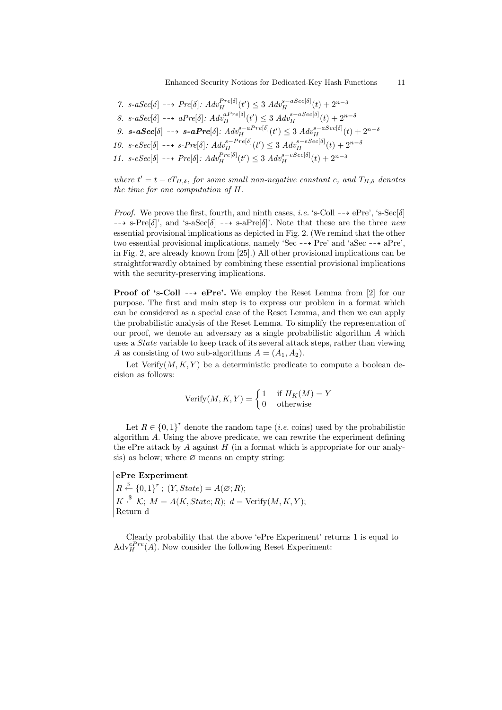Enhanced Security Notions for Dedicated-Key Hash Functions 11

- 7.  $s$ -aSec[ $\delta$ ]  $\rightarrow$   $Pre[\delta]$ :  $Adv_H^{Pre[\delta]}(t') \leq 3$   $Adv_H^{s-aSec[\delta]}(t) + 2^{n-\delta}$
- 8. s-a $Sec[\delta] \dashrightarrow aPre[\delta]$ :  $Adv_H^{aPre[\delta]}(t') \leq 3$   $Adv_H^{s- aSec[\delta]}(t) + 2^{n-\delta}$
- 9.  $s a \textbf{Sec}[\delta] \longrightarrow s a \textbf{Pre}[\delta]$ :  $Adv_H^{s a \textbf{Pre}[\delta]}(t') \leq 3 \textbf{Adv}_H^{s a \textbf{Sec}[\delta]}(t) + 2^{n-\delta}$
- 10.  $s\text{-}eSec[\delta] \longrightarrow s\text{-}Pre[\delta]$ :  $Adv_H^{s-Pre[\delta]}(t') \leq 3$   $Adv_H^{s- eSec[\delta]}(t) + 2^{n-\delta}$
- 11.  $s$ - $eSec[\delta] \longrightarrow Pre[\delta]$ :  $Adv_H^{Pre[\delta]}(t') \leq 3$   $Adv_H^{s-}^{E}^{Sec[\delta]}(t) + 2^{n-\delta}$

where  $t' = t - cT_{H,\delta}$ , for some small non-negative constant c, and  $T_{H,\delta}$  denotes the time for one computation of H.

*Proof.* We prove the first, fourth, and ninth cases, *i.e.* 's-Coll  $-\rightarrow e$ Pre', 's-Sec[ $\delta$ ]  $\rightarrow$  s-Pre[δ]', and 's-aSec[δ]  $\rightarrow$  s-aPre[δ]'. Note that these are the three new essential provisional implications as depicted in Fig. 2. (We remind that the other two essential provisional implications, namely 'Sec  $\rightarrow$  Pre' and 'aSec  $\rightarrow$  aPre', in Fig. 2, are already known from [25].) All other provisional implications can be straightforwardly obtained by combining these essential provisional implications with the security-preserving implications.

**Proof of 's-Coll**  $\rightarrow$  **ePre'.** We employ the Reset Lemma from [2] for our purpose. The first and main step is to express our problem in a format which can be considered as a special case of the Reset Lemma, and then we can apply the probabilistic analysis of the Reset Lemma. To simplify the representation of our proof, we denote an adversary as a single probabilistic algorithm A which uses a State variable to keep track of its several attack steps, rather than viewing A as consisting of two sub-algorithms  $A = (A_1, A_2)$ .

Let  $Verify(M, K, Y)$  be a deterministic predicate to compute a boolean decision as follows:

Verify
$$
(M, K, Y)
$$
 = 
$$
\begin{cases} 1 & \text{if } H_K(M) = Y \\ 0 & \text{otherwise} \end{cases}
$$

Let  $R \in \{0,1\}^r$  denote the random tape (*i.e.* coins) used by the probabilistic algorithm A. Using the above predicate, we can rewrite the experiment defining the ePre attack by  $A$  against  $H$  (in a format which is appropriate for our analysis) as below; where  $\varnothing$  means an empty string:

### ePre Experiment

 $R \stackrel{\$}{\leftarrow} \{0,1\}^r$ ;  $(Y, State) = A(\emptyset; R)$ ;  $K \stackrel{\$}{\leftarrow} \mathcal{K}; M = A(K, State; R); d = \text{Verify}(M, K, Y);$ Return d

Clearly probability that the above 'ePre Experiment' returns 1 is equal to  $\mathrm{Adv}_{H}^{ePre}(A)$ . Now consider the following Reset Experiment: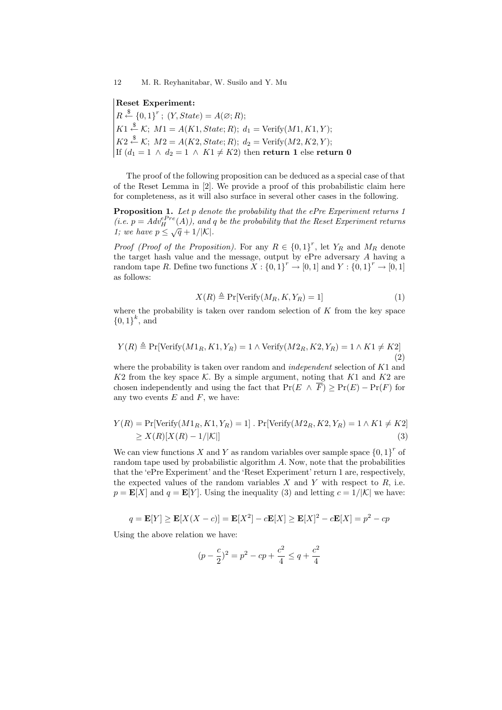## Reset Experiment:

 $R \stackrel{\$}{\leftarrow} \{0,1\}^r$ ;  $(Y, State) = A(\emptyset; R)$ ;  $K1 \overset{\$}{\leftarrow} \mathcal{K}; M1 = A(K1, State; R); d_1 = Verify(M1, K1, Y);$  $K2 \stackrel{\$}{\leftarrow} \mathcal{K}; M2 = A(K2, State; R); d_2 = Verify(M2, K2, Y);$ If  $(d_1 = 1 \wedge d_2 = 1 \wedge K1 \neq K2)$  then return 1 else return 0

The proof of the following proposition can be deduced as a special case of that of the Reset Lemma in [2]. We provide a proof of this probabilistic claim here for completeness, as it will also surface in several other cases in the following.

**Proposition 1.** Let  $p$  denote the probability that the ePre Experiment returns 1 (i.e.  $p = Adv_H^{ePre}(A)$ ), and q be the probability that the Reset Experiment returns (i.c.  $p = \text{diag}$  (11)), and  $1$ ; we have  $p \leq \sqrt{q} + 1/|\mathcal{K}|$ .

*Proof (Proof of the Proposition)*. For any  $R \in \{0,1\}^r$ , let  $Y_R$  and  $M_R$  denote the target hash value and the message, output by ePre adversary A having a random tape R. Define two functions  $X: \{0,1\}^r \to [0,1]$  and  $Y: \{0,1\}^r \to [0,1]$ as follows:

$$
X(R) \triangleq \Pr[\text{Verify}(M_R, K, Y_R) = 1] \tag{1}
$$

where the probability is taken over random selection of  $K$  from the key space  ${0,1}^k$ , and

$$
Y(R) \triangleq \Pr[\text{Verify}(M1_R, K1, Y_R) = 1 \land \text{Verify}(M2_R, K2, Y_R) = 1 \land K1 \neq K2]
$$
\n(2)

where the probability is taken over random and  $\emph{independent}$  selection of  $K1$  and  $K2$  from the key space K. By a simple argument, noting that  $K1$  and  $K2$  are chosen independently and using the fact that  $Pr(E \wedge \overline{F}) \geq Pr(E) - Pr(F)$  for any two events  $E$  and  $F$ , we have:

$$
Y(R) = \Pr[\text{Verify}(M1_R, K1, Y_R) = 1]. \Pr[\text{Verify}(M2_R, K2, Y_R) = 1 \land K1 \neq K2]
$$
  
\n
$$
\geq X(R)[X(R) - 1/|\mathcal{K}|] \tag{3}
$$

We can view functions X and Y as random variables over sample space  $\{0,1\}^r$  of random tape used by probabilistic algorithm A. Now, note that the probabilities that the 'ePre Experiment' and the 'Reset Experiment' return 1 are, respectively, the expected values of the random variables  $X$  and  $Y$  with respect to  $R$ , i.e.  $p = \mathbf{E}[X]$  and  $q = \mathbf{E}[Y]$ . Using the inequality (3) and letting  $c = 1/|K|$  we have:

$$
q = \mathbf{E}[Y] \ge \mathbf{E}[X(X-c)] = \mathbf{E}[X^2] - c\mathbf{E}[X] \ge \mathbf{E}[X]^2 - c\mathbf{E}[X] = p^2 - cp
$$

Using the above relation we have:

$$
(p - \frac{c}{2})^2 = p^2 - cp + \frac{c^2}{4} \le q + \frac{c^2}{4}
$$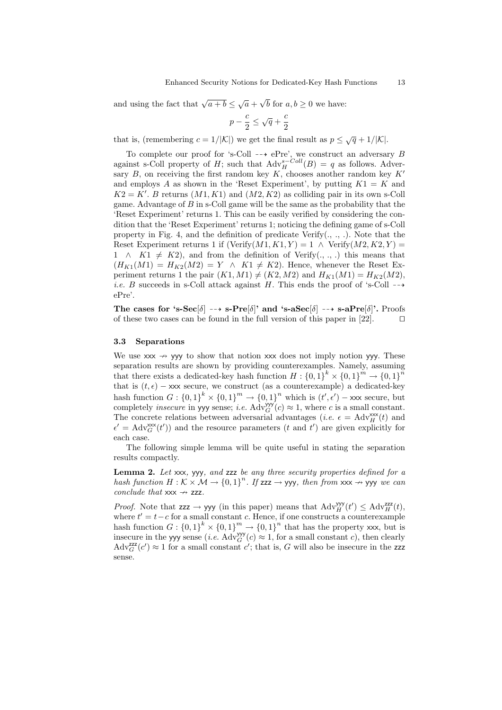and using the fact that  $\sqrt{a+b} \leq \sqrt{a}$ √ b for  $a, b \geq 0$  we have:

$$
p-\frac{c}{2}\leq \sqrt{q}+\frac{c}{2}
$$

that is, (remembering  $c = 1/|\mathcal{K}|$ ) we get the final result as  $p \leq \sqrt{q} + 1/|\mathcal{K}|$ .

To complete our proof for 's-Coll  $\rightarrow$  ePre', we construct an adversary B against s-Coll property of H; such that  $\text{Adv}_{H}^{s-Coll}(B) = q$  as follows. Adversary  $B$ , on receiving the first random key  $K$ , chooses another random key  $K'$ and employs A as shown in the 'Reset Experiment', by putting  $K1 = K$  and  $K2 = K'.$  B returns  $(M1, K1)$  and  $(M2, K2)$  as colliding pair in its own s-Coll game. Advantage of  $B$  in s-Coll game will be the same as the probability that the 'Reset Experiment' returns 1. This can be easily verified by considering the condition that the 'Reset Experiment' returns 1; noticing the defining game of s-Coll property in Fig. 4, and the definition of predicate Verify $(., ., .)$ . Note that the Reset Experiment returns 1 if  $(\text{Verify}(M1, K1, Y) = 1 \wedge \text{Verify}(M2, K2, Y) =$  $1 \wedge K1 \neq K2$ , and from the definition of Verify(., ., .) this means that  $(H_{K1}(M1) = H_{K2}(M2) = Y \wedge K1 \neq K2$ . Hence, whenever the Reset Experiment returns 1 the pair  $(K1, M1) \neq (K2, M2)$  and  $H_{K1}(M1) = H_{K2}(M2)$ , *i.e.* B succeeds in s-Coll attack against H. This ends the proof of 's-Coll  $\rightarrow$ ePre'.

The cases for 's-Sec[ $\delta$ ] --+ s-Pre[ $\delta$ ]' and 's-aSec[ $\delta$ ] --+ s-aPre[ $\delta$ ]'. Proofs of these two cases can be found in the full version of this paper in [22].  $\Box$ 

#### 3.3 Separations

We use  $x \times x \rightarrow y \times y$  to show that notion xxx does not imply notion yyy. These separation results are shown by providing counterexamples. Namely, assuming that there exists a dedicated-key hash function  $H: \{0,1\}^k \times \{0,1\}^m \to \{0,1\}^n$ that is  $(t, \epsilon)$  – xxx secure, we construct (as a counterexample) a dedicated-key hash function  $G: \{0,1\}^k \times \{0,1\}^m \to \{0,1\}^n$  which is  $(t', \epsilon')$  – xxx secure, but completely *insecure* in yyy sense; *i.e.*  $\text{Adv}_{G}^{\text{yy}}(c) \approx 1$ , where c is a small constant. The concrete relations between adversarial advantages (*i.e.*  $\epsilon = \text{Adv}_{H}^{\text{xxx}}(t)$  and  $\epsilon' = \text{Adv}_{G}^{\text{xxx}}(t')$  and the resource parameters (t and t') are given explicitly for each case.

The following simple lemma will be quite useful in stating the separation results compactly.

Lemma 2. Let  $xxx$ , yyy, and zzz be any three security properties defined for a hash function  $H: K \times M \to \{0,1\}^n$ . If zzz  $\to$  yyy, then from  $xxx \to$  yyy we can conclude that  $xxx \rightarrow zzz$ .

*Proof.* Note that  $zzz \rightarrow yy$  (in this paper) means that  $\text{Adv}_{H}^{yyy}(t') \leq \text{Adv}_{H}^{zzz}(t)$ , where  $t' = t - c$  for a small constant c. Hence, if one constructs a counterexample hash function  $G: \{0,1\}^k \times \{0,1\}^m \to \{0,1\}^n$  that has the property xxx, but is insecure in the yyy sense (*i.e.*  $Adv_G^{yyy}(c) \approx 1$ , for a small constant *c*), then clearly  $\text{Adv}_{G}^{\text{ZZZ}}(c') \approx 1$  for a small constant  $c'$ ; that is, G will also be insecure in the zzz sense.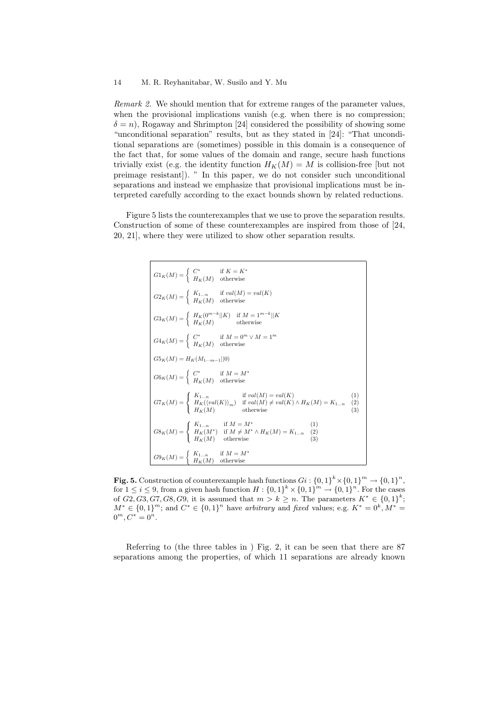Remark 2. We should mention that for extreme ranges of the parameter values, when the provisional implications vanish (e.g. when there is no compression;  $\delta = n$ , Rogaway and Shrimpton [24] considered the possibility of showing some "unconditional separation" results, but as they stated in [24]: "That unconditional separations are (sometimes) possible in this domain is a consequence of the fact that, for some values of the domain and range, secure hash functions trivially exist (e.g. the identity function  $H_K(M) = M$  is collision-free [but not preimage resistant]). " In this paper, we do not consider such unconditional separations and instead we emphasize that provisional implications must be interpreted carefully according to the exact bounds shown by related reductions.

Figure 5 lists the counterexamples that we use to prove the separation results. Construction of some of these counterexamples are inspired from those of [24, 20, 21], where they were utilized to show other separation results.

$$
G1_K(M) = \begin{cases} C^* & \text{if } K = K^* \\ H_K(M) & \text{otherwise} \end{cases}
$$
  
\n
$$
G2_K(M) = \begin{cases} K_{1...n} & \text{if } val(M) = val(K) \\ H_K(M) & \text{otherwise} \end{cases}
$$
  
\n
$$
G3_K(M) = \begin{cases} H_K(0^{m-k}||K) & \text{if } M = 1^{m-k}||K \\ H_K(M) & \text{otherwise} \end{cases}
$$
  
\n
$$
G4_K(M) = \begin{cases} C^* & \text{if } M = 0^m \vee M = 1^m \\ H_K(M) & \text{otherwise} \end{cases}
$$
  
\n
$$
G5_K(M) = H_K(M_{1...m-1}||0)
$$
  
\n
$$
G6_K(M) = \begin{cases} C^* & \text{if } M = M^* \\ H_K(M) & \text{otherwise} \end{cases}
$$
  
\n
$$
G7_K(M) = \begin{cases} K_{1...n} & \text{if } val(M) = val(K) \\ H_K(M) & \text{otherwise} \end{cases}
$$
  
\n
$$
G8_K(M) = \begin{cases} K_{1...n} & \text{if } M = M^* \\ H_K(M) & \text{otherwise} \end{cases}
$$
  
\n
$$
G8_K(M) = \begin{cases} K_{1...n} & \text{if } M = M^* \\ H_K(M) & \text{otherwise} \end{cases}
$$
  
\n
$$
G9_K(M) = \begin{cases} K_{1...n} & \text{if } M = M^* \\ H_K(M) & \text{otherwise} \end{cases}
$$
  
\n
$$
G9_K(M) = \begin{cases} K_{1...n} & \text{if } M = M^* \\ H_K(M) & \text{otherwise} \end{cases}
$$
  
\n
$$
G9_K(M) = \begin{cases} K_{1...n} & \text{if } M = M^* \\ H_K(M) & \text{otherwise} \end{cases}
$$

**Fig. 5.** Construction of counterexample hash functions  $Gi : \{0,1\}^k \times \{0,1\}^m \to \{0,1\}^n$ , for  $1 \leq i \leq 9$ , from a given hash function  $H: \{0,1\}^k \times \{0,1\}^m \to \{0,1\}^n$ . For the cases of  $G2, G3, G7, G8, G9$ , it is assumed that  $m > k \geq n$ . The parameters  $K^* \in \{0,1\}^k$ ;  $M^* \in \{0,1\}^m$ ; and  $C^* \in \{0,1\}^n$  have arbitrary and fixed values; e.g.  $K^* = 0^k$ ,  $M^* =$  $0^m, C^* = 0^n.$ 

Referring to (the three tables in ) Fig. 2, it can be seen that there are 87 separations among the properties, of which 11 separations are already known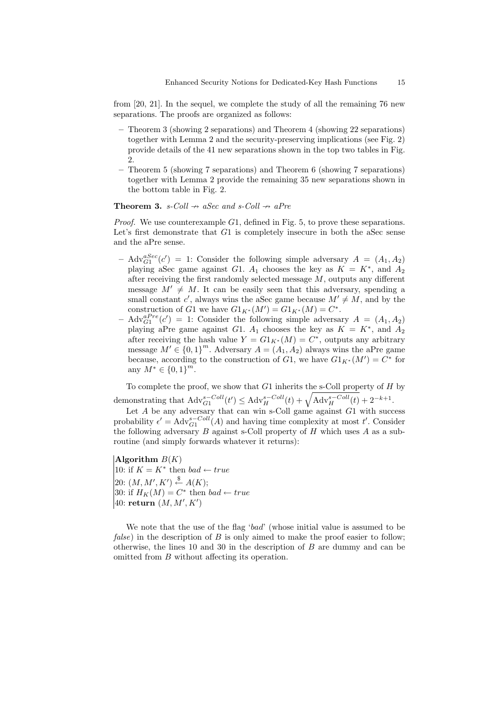from [20, 21]. In the sequel, we complete the study of all the remaining 76 new separations. The proofs are organized as follows:

- Theorem 3 (showing 2 separations) and Theorem 4 (showing 22 separations) together with Lemma 2 and the security-preserving implications (see Fig. 2) provide details of the 41 new separations shown in the top two tables in Fig.  $\Omega$
- Theorem 5 (showing 7 separations) and Theorem 6 (showing 7 separations) together with Lemma 2 provide the remaining 35 new separations shown in the bottom table in Fig. 2.

#### **Theorem 3.** s-Coll  $\rightarrow$  aSec and s-Coll  $\rightarrow$  aPre

*Proof.* We use counterexample  $G1$ , defined in Fig. 5, to prove these separations. Let's first demonstrate that  $G1$  is completely insecure in both the aSec sense and the aPre sense.

- Adv ${}_{G_1}^{aSec}(c') = 1$ : Consider the following simple adversary  $A = (A_1, A_2)$ playing aSec game against G1.  $A_1$  chooses the key as  $K = K^*$ , and  $A_2$ after receiving the first randomly selected message  $M$ , outputs any different message  $M' \neq M$ . It can be easily seen that this adversary, spending a small constant c', always wins the aSec game because  $M' \neq M$ , and by the construction of G1 we have  $G1_{K^*}(M') = G1_{K^*}(M) = C^*$ .
- Adv ${}_{G_1}^{aPre}(c') = 1$ : Consider the following simple adversary  $A = (A_1, A_2)$ playing aPre game against G1.  $A_1$  chooses the key as  $K = K^*$ , and  $A_2$ after receiving the hash value  $Y = G1_{K^*}(M) = C^*$ , outputs any arbitrary message  $M' \in \{0,1\}^m$ . Adversary  $A = (A_1, A_2)$  always wins the aPre game because, according to the construction of G1, we have  $G1_{K^*}(M') = C^*$  for any  $M^* \in \{0,1\}^m$ .

To complete the proof, we show that  $G1$  inherits the s-Coll property of  $H$  by demonstrating that  $\text{Adv}_{G1}^{s-Coll}(t') \leq \text{Adv}_{H}^{s-Coll}(t) + \sqrt{\text{Adv}_{H}^{s-Coll}(t)} + 2^{-k+1}.$ 

Let  $A$  be any adversary that can win s-Coll game against  $G1$  with success probability  $\epsilon' = \text{Adv}_{G1}^{s-Coll}(A)$  and having time complexity at most t'. Consider the following adversary  $B$  against s-Coll property of  $H$  which uses  $A$  as a subroutine (and simply forwards whatever it returns):

Algorithm  $B(K)$ 10: if  $K = K^*$  then  $bad \leftarrow true$ 20:  $(M, M', K') \stackrel{\$}{\leftarrow} A(K);$ 30: if  $H_K(M) = C^*$  then  $bad \leftarrow true$ 40: return  $(M, M', K')$ 

We note that the use of the flag 'bad' (whose initial value is assumed to be *false*) in the description of B is only aimed to make the proof easier to follow; otherwise, the lines 10 and 30 in the description of B are dummy and can be omitted from B without affecting its operation.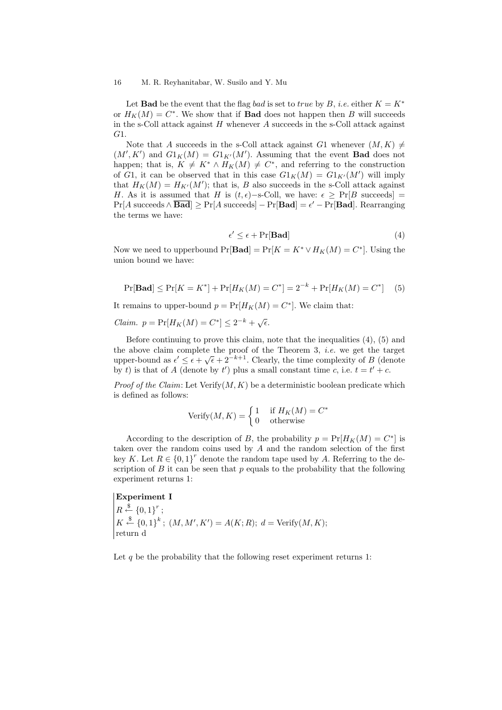Let **Bad** be the event that the flag *bad* is set to *true* by B, *i.e.* either  $K = K^*$ or  $H_K(M) = C^*$ . We show that if **Bad** does not happen then B will succeeds in the s-Coll attack against  $H$  whenever  $A$  succeeds in the s-Coll attack against G1.

Note that A succeeds in the s-Coll attack against G1 whenever  $(M, K) \neq$  $(M', K')$  and  $G1_K(M) = G1_{K'}(M')$ . Assuming that the event **Bad** does not happen; that is,  $K \neq K^* \wedge H_K(M) \neq C^*$ , and referring to the construction of G1, it can be observed that in this case  $G1_K(M) = G1_{K'}(M')$  will imply that  $H_K(M) = H_{K'}(M')$ ; that is, B also succeeds in the s-Coll attack against H. As it is assumed that H is  $(t, \epsilon)$ -s-Coll, we have:  $\epsilon \geq \Pr[B \text{ succeeds}] =$  $Pr[A \text{ succeeds} \land \overline{\mathbf{Bad}}] \geq Pr[A \text{ succeeds}] - Pr[\mathbf{Bad}] = \epsilon' - Pr[\mathbf{Bad}]$ . Rearranging the terms we have:

$$
\epsilon' \le \epsilon + \Pr[\mathbf{Bad}] \tag{4}
$$

Now we need to upperbound  $Pr[\mathbf{Bad}] = Pr[K = K^* \vee H_K(M) = C^*]$ . Using the union bound we have:

$$
\Pr[\mathbf{Bad}] \le \Pr[K = K^*] + \Pr[H_K(M) = C^*] = 2^{-k} + \Pr[H_K(M) = C^*] \tag{5}
$$

It remains to upper-bound  $p = Pr[H_K(M) = C^*]$ . We claim that:

Claim.  $p = Pr[H_K(M) = C^*] \leq 2^{-k} + \sqrt{\epsilon}.$ 

Before continuing to prove this claim, note that the inequalities (4), (5) and the above claim complete the proof of the Theorem 3, *i.e.* we get the target the above claim complete the proof of the Theorem 3, *t.e.* we get the target<br>upper-bound as  $\epsilon' \leq \epsilon + \sqrt{\epsilon} + 2^{-k+1}$ . Clearly, the time complexity of B (denote by t) is that of A (denote by t') plus a small constant time c, i.e.  $t = t' + c$ .

*Proof of the Claim:* Let  $Verify(M, K)$  be a deterministic boolean predicate which is defined as follows:

Verify
$$
(M, K) = \begin{cases} 1 & \text{if } H_K(M) = C^* \\ 0 & \text{otherwise} \end{cases}
$$

According to the description of B, the probability  $p = Pr[H_K(M) = C^*]$  is taken over the random coins used by  $A$  and the random selection of the first key K. Let  $R \in \{0,1\}^r$  denote the random tape used by A. Referring to the description of  $B$  it can be seen that  $p$  equals to the probability that the following experiment returns 1:

### Experiment I

 $R \stackrel{\$}{\leftarrow} \{0,1\}^r$ ;  $K \stackrel{\$}{\leftarrow} \{0,1\}^k$ ;  $(M, M', K') = A(K; R)$ ;  $d = \text{Verify}(M, K)$ ; return d

Let  $q$  be the probability that the following reset experiment returns 1: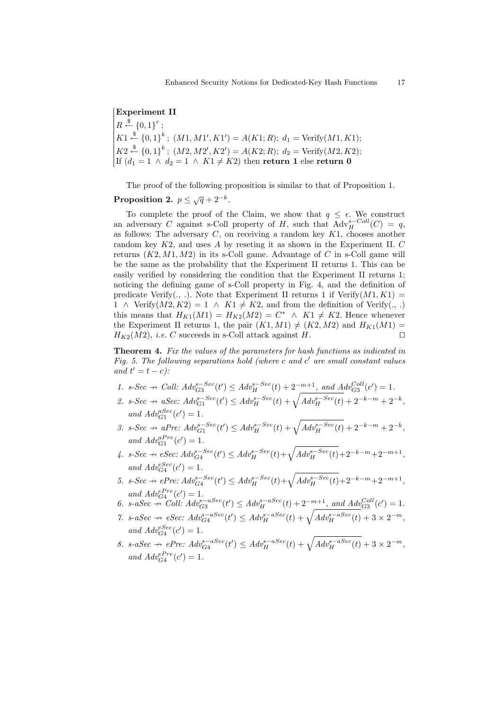# Experiment II

 $R \stackrel{\$}{\leftarrow} \{0,1\}^r$ ;  $K1 \stackrel{\$}{\leftarrow} \{0,1\}^k$ ;  $(M1, M1', K1') = A(K1; R)$ ;  $d_1 = \text{Verify}(M1, K1)$ ;  $K2 \stackrel{\$}{\leftarrow} \{0,1\}^k$ ;  $(M2, M2', K2') = A(K2; R)$ ;  $d_2 = \text{Verify}(M2, K2)$ ; If  $(d_1 = 1 \wedge d_2 = 1 \wedge K1 \neq K2)$  then return 1 else return 0

The proof of the following proposition is similar to that of Proposition 1.

# Proposition 2.  $p \leq \sqrt{q} + 2^{-k}$ .

To complete the proof of the Claim, we show that  $q \leq \epsilon$ . We construct an adversary C against s-Coll property of H, such that  $\text{Adv}_{H}^{s-Coll}(C) = q$ , as follows: The adversary  $C$ , on receiving a random key  $K1$ , chooses another random key  $K2$ , and uses A by reseting it as shown in the Experiment II.  $C$ returns  $(K2, M1, M2)$  in its s-Coll game. Advantage of C in s-Coll game will be the same as the probability that the Experiment II returns 1. This can be easily verified by considering the condition that the Experiment II returns 1; noticing the defining game of s-Coll property in Fig. 4, and the definition of predicate Verify(., .). Note that Experiment II returns 1 if Verify $(M1, K1)$  =  $1 \wedge \text{Verify}(M2, K2) = 1 \wedge K1 \neq K2$ , and from the definition of Verify(.,.) this means that  $H_{K1}(M1) = H_{K2}(M2) = C^* \wedge K1 \neq K2$ . Hence whenever the Experiment II returns 1, the pair  $(K1, M1) \neq (K2, M2)$  and  $H_{K1}(M1) =$  $H_{K2}(M2)$ , *i.e.* C succeeds in s-Coll attack against H.

Theorem 4. Fix the values of the parameters for hash functions as indicated in Fig. 5. The following separations hold (where  $c$  and  $c'$  are small constant values and  $t' = t - c$ ):

- 1. s-Sec  $\rightarrow$  Coll:  $Adv_{G3}^{s-Sec}(t') \leq Adv_H^{s-Sec}(t) + 2^{-m+1}$ , and  $Adv_{G3}^{Coll}(c') = 1$ .
- 2. s-Sec → aSec:  $Adv_{G1}^{s-Sec}(t') \leq Adv_{H}^{s-Sec}(t) + \sqrt{Adv_{H}^{s-Sec}(t)} + 2^{-k-m} + 2^{-k},$ and  $Adv_{G1}^{aSec}(c') = 1$ .
- 3. s-Sec → aPre:  $Adv_{G1}^{s-Sec}(t') \leq Adv_{H}^{s-Sec}(t) + \sqrt{Adv_{H}^{s-Sec}(t)} + 2^{-k-m} + 2^{-k},$ and  $Adv_{G1}^{aPre}(c') = 1$ .  $G1$
- $4. s\text{-}Sec \rightarrow eSec: Adv_{G4}^{s-}Set(t') \leq Adv_{H}^{s-}Set(t) + \sqrt{Adv_{H}^{s-}Set(t)} + 2^{-k-m} + 2^{-m+1},$ and  $Adv_{G4}^{eSec}(c')=1$ .  $G4$
- 5. s-Sec → ePre:  $Adv_{G4}^{s-Sec}(t') \leq Adv_H^{s-Sec}(t) + \sqrt{Adv_H^{s-Sec}(t)} + 2^{-k-m} + 2^{-m+1},$ and  $Adv_{G4}^{ePre}(c') = 1$ .
- 6.  $s-aSec \rightarrow Coll: Adv_{G3}^{s-aSec}(t') \leq Adv_H^{s-aSec}(t) + 2^{-m+1}$ , and  $Adv_{G3}^{Coll}(c') = 1$ .
- 7. s-aSec → eSec:  $Adv_{G4}^{s-asec}(t') \leq Adv_H^{s-asec}(t) + \sqrt{Adv_H^{s-asec}(t)} + 3 \times 2^{-m},$ and  $Adv_{G4}^{eSec}(c') = 1$ .
- 8. s-aSec → ePre:  $Adv_{G4}^{s-ascc}(t') \leq Adv_H^{s-ascc}(t) + \sqrt{Adv_H^{s-ascc}(t)} + 3 \times 2^{-m},$ and  $Adv_{G4}^{ePre}(c') = 1$ .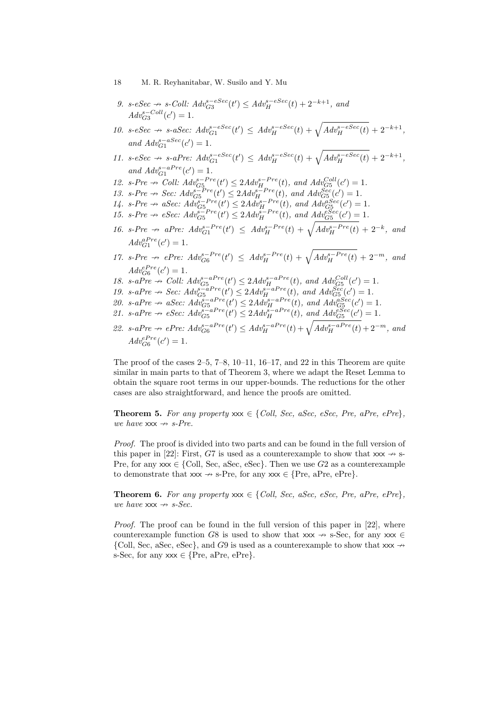- 18 M. R. Reyhanitabar, W. Susilo and Y. Mu
- 9. s-eSec  $\rightarrow$  s-Coll:  $Adv_{G3}^{s-eSec}(t') \leq Adv_{H}^{s-eSec}(t) + 2^{-k+1}$ , and  $Adv_{G3}^{s-Coll}(c') = 1.$
- 10. s-eSec  $\rightarrow$  s-aSec:  $Adv_{G1}^{s-eSec}(t') \leq Adv_{H}^{s-eSec}(t) + \sqrt{Adv_{H}^{s-eSec}(t)} + 2^{-k+1},$ and  $Adv_{G1}^{s-asc}(c') = 1$ .
- 11. s-eSec  $\rightarrow$  s-aPre:  $Adv_{G1}^{s-eSec}(t') \leq Adv_{H}^{s-eSec}(t) + \sqrt{Adv_{H}^{s-eSec}(t)} + 2^{-k+1},$ and  $Adv_{G1}^{s-aPre}(c') = 1$ .
- 12. s-Pre  $\rightarrow$  Coll:  $Adv_{G_5}^{s-Pre}(t') \leq 2Adv_{H_n}^{s-Pre}(t)$ , and  $Adv_{G_5}^{Coll}(c') = 1$ .
- 13. s-Pre  $\rightarrow$  Sec:  $Adv_{GS}^{s-Pre}(t') \leq 2Adv_H^{s-Pre}(t)$ , and  $Adv_{GS}^{Sec}(c') = 1$ .
- 14. s-Pre  $\rightarrow$  aSec:  $Ad\tilde{v}_{G5}^{s-Pre}(t') \leq 2Ad\tilde{v}_{H}^{s-Pre}(t)$ , and  $Ad\tilde{v}_{G5}^{aSec}(c') = 1$ .
- 15. s-Pre  $\rightarrow$  eSec:  $Adv_{G5}^{s-Pre}(t') \leq 2Adv_{H}^{s-Pre}(t)$ , and  $Adv_{G5}^{eSec}(c') = 1$ .
- 16. s-Pre  $\rightarrow$  aPre:  $Adv_{G1}^{s-Pre}(t') \leq Adv_H^{s-Pre}(t) + \sqrt{Adv_H^{s-Pre}(t)} + 2^{-k}$ , and  $Adv_{G1}^{aPre}(c') = 1.$
- 17. s-Pre  $\rightarrow$  ePre:  $Adv_{G6}^{s-Pre}(t') \leq Adv_{H}^{s-Pre}(t) + \sqrt{Adv_{H}^{s-Pre}(t)} + 2^{-m}$ , and  $Adv_{G6}^{ePre}(c') = 1.$
- $18. s\text{-}aPre \rightarrow Coll: Adv_{GS}^{s-aPre}(t') \leq 2Adv_{H}^{s-aPre}(t), \text{ and } Adv_{GS}^{Coll}(c') = 1.$
- 19. s-aPre  $\rightarrow$  Sec:  $Adv_{G5}^{s-aPre}(t') \leq 2Adv_H^{s-aPre}(t)$ , and  $Adv_{G5}^{Sec}(c') = 1$ .
- 20. s-aPre  $\rightarrow$  aSec:  $Adv_{GS}^{s-aPre}(t') \leq 2Adv_H^{s-aPre}(t)$ , and  $Adv_{GS}^{aSec}(c') = 1$ .
- 21. s-aPre  $\rightarrow eSec: Adv_{G5}^{s-aPre}(t') \leq 2Adv_{H}^{s-aPre}(t)$ , and  $Adv_{G5}^{eSec}(c') = 1$ .
- 22. s-aPre  $\rightarrow ePre: Adv_{G6}^{s-aPre}(t') \leq Adv_H^{s-aPre}(t) + \sqrt{Adv_H^{s-aPre}(t)} + 2^{-m}$ , and  $Adv^{ePre}_{G6}(c') = 1.$

The proof of the cases  $2-5$ ,  $7-8$ ,  $10-11$ ,  $16-17$ , and  $22$  in this Theorem are quite similar in main parts to that of Theorem 3, where we adapt the Reset Lemma to obtain the square root terms in our upper-bounds. The reductions for the other cases are also straightforward, and hence the proofs are omitted.

**Theorem 5.** For any property  $\mathbf{xxx} \in \{Coll, Sec, aSec, eSec, Pre, aPre, ePre\}$ , we have  $x \times x \rightarrow s$ -Pre.

Proof. The proof is divided into two parts and can be found in the full version of this paper in [22]: First, G7 is used as a counterexample to show that  $x \times x \rightarrow s$ -Pre, for any  $x \times \in \{ \text{Coll}, \text{Sec}, \text{aSec}, \text{eSec} \}$ . Then we use  $G2$  as a counterexample to demonstrate that  $xxx \nightharpoonup s$ -Pre, for any  $xxx \in \{Pre, aPre, ePre\}.$ 

**Theorem 6.** For any property  $xx \in \{Coll, Sec. aSec. eSec. Pre. aPre. ePre\}.$ we have  $x \times x \rightarrow s\text{-}Sec.$ 

*Proof.* The proof can be found in the full version of this paper in [22], where counterexample function G8 is used to show that  $xxx \rightarrow s\text{-}Sec$ , for any  $xxx \in$ {Coll, Sec, aSec, eSec}, and G9 is used as a counterexample to show that  $xxx \rightarrow$ s-Sec, for any  $xxx \in \{Pre, aPre, ePre\}.$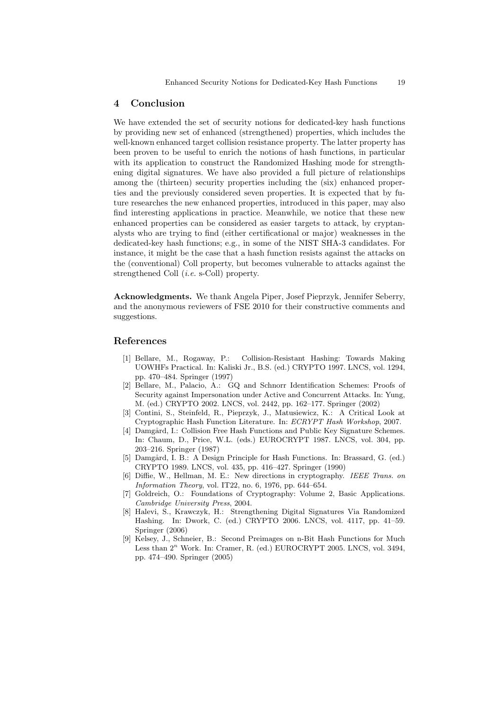#### 4 Conclusion

We have extended the set of security notions for dedicated-key hash functions by providing new set of enhanced (strengthened) properties, which includes the well-known enhanced target collision resistance property. The latter property has been proven to be useful to enrich the notions of hash functions, in particular with its application to construct the Randomized Hashing mode for strengthening digital signatures. We have also provided a full picture of relationships among the (thirteen) security properties including the (six) enhanced properties and the previously considered seven properties. It is expected that by future researches the new enhanced properties, introduced in this paper, may also find interesting applications in practice. Meanwhile, we notice that these new enhanced properties can be considered as easier targets to attack, by cryptanalysts who are trying to find (either certificational or major) weaknesses in the dedicated-key hash functions; e.g., in some of the NIST SHA-3 candidates. For instance, it might be the case that a hash function resists against the attacks on the (conventional) Coll property, but becomes vulnerable to attacks against the strengthened Coll (i.e. s-Coll) property.

Acknowledgments. We thank Angela Piper, Josef Pieprzyk, Jennifer Seberry, and the anonymous reviewers of FSE 2010 for their constructive comments and suggestions.

## References

- [1] Bellare, M., Rogaway, P.: Collision-Resistant Hashing: Towards Making UOWHFs Practical. In: Kaliski Jr., B.S. (ed.) CRYPTO 1997. LNCS, vol. 1294, pp. 470–484. Springer (1997)
- [2] Bellare, M., Palacio, A.: GQ and Schnorr Identification Schemes: Proofs of Security against Impersonation under Active and Concurrent Attacks. In: Yung, M. (ed.) CRYPTO 2002. LNCS, vol. 2442, pp. 162–177. Springer (2002)
- [3] Contini, S., Steinfeld, R., Pieprzyk, J., Matusiewicz, K.: A Critical Look at Cryptographic Hash Function Literature. In: ECRYPT Hash Workshop, 2007.
- [4] Damgård, I.: Collision Free Hash Functions and Public Key Signature Schemes. In: Chaum, D., Price, W.L. (eds.) EUROCRYPT 1987. LNCS, vol. 304, pp. 203–216. Springer (1987)
- [5] Damgård, I. B.: A Design Principle for Hash Functions. In: Brassard, G. (ed.) CRYPTO 1989. LNCS, vol. 435, pp. 416–427. Springer (1990)
- [6] Diffie, W., Hellman, M. E.: New directions in cryptography. IEEE Trans. on Information Theory, vol. IT22, no. 6, 1976, pp. 644–654.
- [7] Goldreich, O.: Foundations of Cryptography: Volume 2, Basic Applications. Cambridge University Press, 2004.
- [8] Halevi, S., Krawczyk, H.: Strengthening Digital Signatures Via Randomized Hashing. In: Dwork, C. (ed.) CRYPTO 2006. LNCS, vol. 4117, pp. 41–59. Springer (2006)
- [9] Kelsey, J., Schneier, B.: Second Preimages on n-Bit Hash Functions for Much Less than  $2^n$  Work. In: Cramer, R. (ed.) EUROCRYPT 2005. LNCS, vol. 3494, pp. 474–490. Springer (2005)